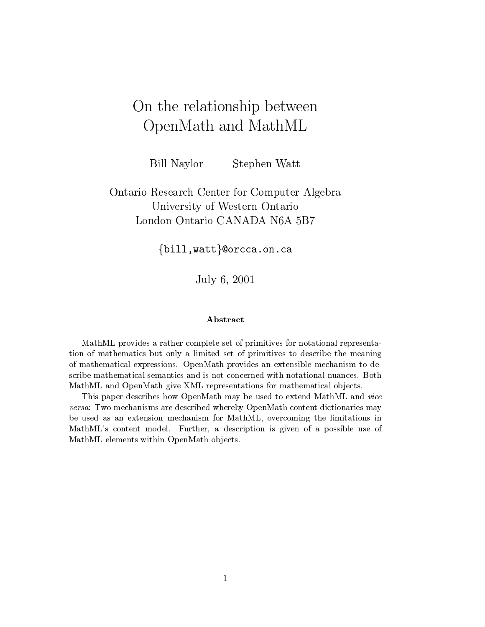# On the relationship between OpenMath and MathML

Bill Naylor Stephen Watt

Ontario Research Center for Computer Algebra University of Western Ontario London Ontario CANADA N6A 5B7

 $\{$ bill, watt $\}$ @orcca.on.ca

July 6, 2001

MathML provides a rather complete set of primitives for notational representation of mathematics but only a limited set of primitives to describe the meaning of mathematical expressions. OpenMath provides an extensible mechanism to describe mathematical semantics and is not concerned with notational nuances. Both MathML and OpenMath give XML representations for mathematical objects.

This paper describes how OpenMath may be used to extend MathML and vice versa: Two mechanisms are described whereby OpenMath content dictionaries may be used as an extension mechanism for MathML, overcoming the limitations in MathML's content model. Further, a description is given of a possible use of MathML elements within OpenMath objects.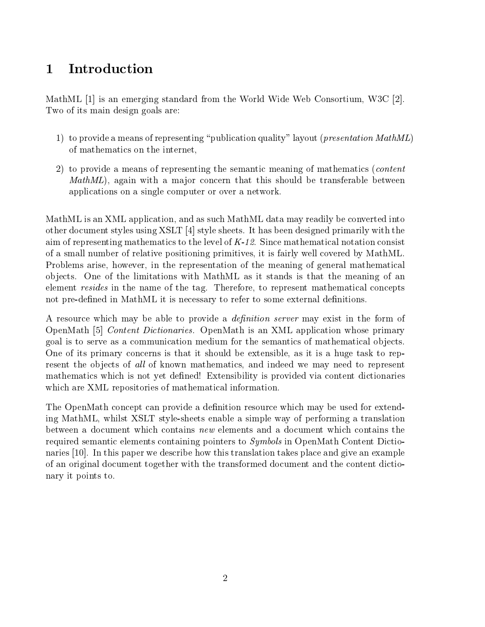# 1 Introduction

MathML [1] is an emerging standard from the World Wide Web Consortium, W3C [2]. Two of its main design goals are:

- 1) to provide a means of representing "publication quality" layout (*presentation MathML*) of mathematics on the internet,
- 2) to provide a means of representing the semantic meaning of mathematics (content  $MathML$ , again with a major concern that this should be transferable between applications on asingle computer or over a network.

MathML is an XML application, and as such MathML data may readily be converted into other document styles using XSLT [4] style sheets. It has been designed primarily with the aim of representing mathematics to the level of  $K-12$ . Since mathematical notation consist of a small number of relative positioning primitives, it is fairly well covered by MathML. Problems arise, however, in the representation of the meaning of general mathematical ob jects. One of the limitations with MathML as it stands is that the meaning of an element resides in the name of the tag. Therefore, to represent mathematical concepts not pre-defined in MathML it is necessary to refer to some external definitions.

A resource which may be able to provide a *definition server* may exist in the form of OpenMath [5] Content Dictionaries. OpenMath is an XML application whose primary goal is to serve as a communication medium for the semantics of mathematical ob jects. One of its primary concerns is that it should be extensible, as it is a huge task to represent the objects of all of known mathematics, and indeed we may need to represent mathematics which is not yet defined! Extensibility is provided via content dictionaries which are XML repositories of mathematical information.

The OpenMath concept can provide a definition resource which may be used for extending MathML, whilst XSLT style-sheets enable a simple way of performing a translation between a document which contains new elements and a document which contains the required semantic elements containing pointers to Symbols in OpenMath Content Dictionaries [10]. In this paper we describe how this translation takes place and give an example of an original document together with the transformed document and thecontent dictionary it points to.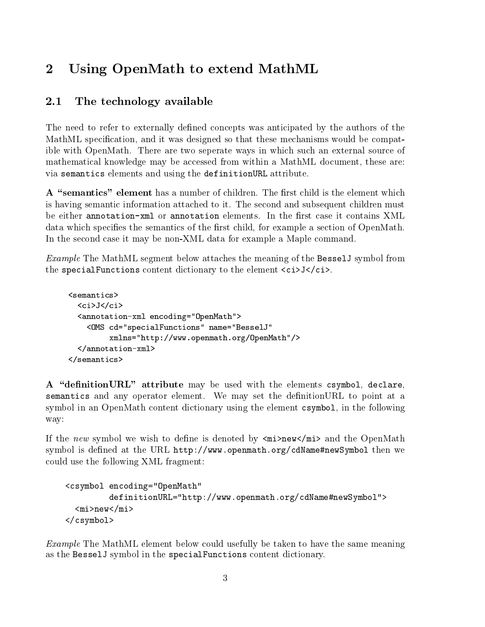### $\overline{2}$ Using OpenMath to extend MathML

### 2.1 The technology available

The need to refer to externally defined concepts was anticipated by the authors of the MathML specication, and it was designed so that these mechanisms would be compatible with OpenMath. There are two seperate ways in which such an external source of mathematical knowledge may be accessed from within a MathML document, these are: via semantics elements and using the definitionURL attribute.

A "semantics" element has a number of children. The first child is the element which is having semantic information attached to it. The second and subsequent children must be either annotation-xml or annotation elements. In the first case it contains XML data which specifies the semantics of the first child, for example a section of OpenMath. In the second case it may be non-XML data for example a Maple command.

Example The MathML segment below attaches the meaning of the BesselJ symbol from the specialFunctions content dictionary to the element  $\langle$ ci>J $\langle$ ci>.

```
<semantics>
    \langleci>J</ci>
    <ci>J</ci>
    <annotation-xml encoding="OpenMath">
        <OMS cd="specialFunctions" name="BesselJ"
                   xmlns="http://www.openmath.org/OpenMath"/>
    \overline{a} , and \overline{a} and \overline{a} and \overline{a} and \overline{a} and \overline{a} and \overline{a} and \overline{a} and \overline{a} and \overline{a} and \overline{a} and \overline{a} and \overline{a} and \overline{a} and \overline{a} and \overline{a} and \overline{a} an
\langle/semantics>
\sim semantics \sim semantics \sim semantics \sim
```
A "definition URL" attribute may be used with the elements csymbol, declare, semantics and any operator element. We may set the definition URL to point at a symbol in an OpenMath content dictionary using the element csymbol, in the following way:

If the new symbol we wish to define is denoted by  $\langle \text{mi}\rangle$  new  $\langle \text{mi}\rangle$  and the OpenMath symbol is defined at the URL http://www.openmath.org/cdName#newSymbol then we could use the following XML fragment:

```
<csymbol encoding="OpenMath"
         definitionURL="http://www.openmath.org/cdName#newSymbol">
 <mi>new</mi>
</csymbol>
```
Example The MathML element below could usefully be taken to have the same meaning as the BesselJ symbol in the specialFunctions content dictionary.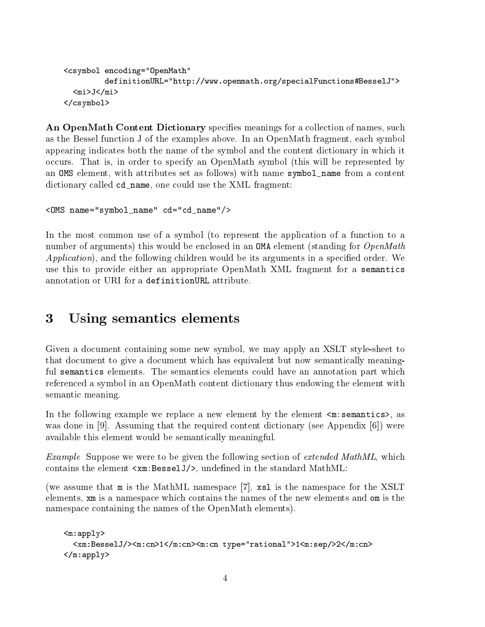```
<csymbol encoding="OpenMath"
        definitionURL="http://www.openmath.org/specialFunctions#BesselJ">
 <mi>J</mi>
</csymbol>
```
An OpenMath Content Dictionary specifies meanings for a collection of names, such as the Bessel function J of the examples above. In an OpenMath fragment, each symbol appearing indicates both the name of the symbol and the content dictionary in which it occurs. That is, in order to specify an OpenMath symbol (this will be represented by an OMS element, with attributes set as follows) with name symbol\_name from a content dictionary called cd\_name, one could use the XML fragment:

```
<OMS name="symbol_name" cd="cd_name"/>
```
In the most common use of a symbol (to represent the application of a function to a number of arguments) this would be enclosed in an **OMA** element (standing for *OpenMath*  $Application$ , and the following children would be its arguments in a specified order. We use this to provide either an appropriate OpenMath XML fragment for a semantics

### 3 Using semantics elements

Given a document containing some new symbol, we may apply an XSLT style-sheet to that document to give a document which has equivalent but now semantically meaningful semantics elements. The semantics elements could have an annotation part which referenced asymbolin an OpenMath content dictionary thus endowing the element with semantic meaning.

In the following example we replace a new element by the element  $\leq m$ : semantics>, as was done in [9]. Assuming that the required content dictionary (see Appendix [6]) were available this element would be semantically meaningful.

Example Suppose we were to be given the following section of extended MathML, which contains the element  $\langle x, m : B \in SL(1) \rangle$ , undefined in the standard MathML:

(we assume that m is the MathML namespace [7], xsl is the namespace for the XSLT elements, xm is a namespace which contains the names of the new elements and om is the namespace containing the names of the OpenMath elements).

```
<m:apply>
 <xm:BesselJ/><m:cn>1</m:cn><m:cn type="rational">1<m:sep/>2</m:cn>
</m:apply>
```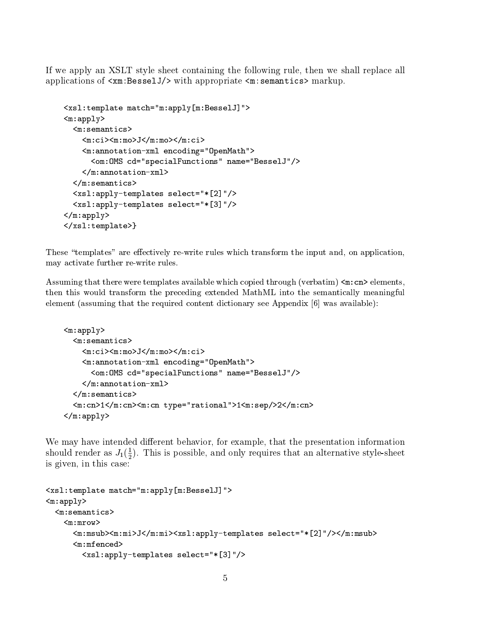If we apply an XSLT style sheet containing the following rule, then we shall replace all applications of <xm:BesselJ/> with appropriate <m:semantics> markup.

```
<xsl:template match="m:apply[m:BesselJ]">
<sub>m</sub>:apply></sub>
 <sub>m</sub>:semantics</sub>
    <m:ci><m:mo>J</m:mo></m:ci>
    <m:annotation-xml encoding="OpenMath">
      <om:OMS cd="specialFunctions" name="BesselJ"/>
    </m:annotation-xml>
 \langle m:semantics>
  <xsl:apply-templates select="*[2]"/>
  <xsl:apply-templates select="*[3]"/>
</m:apply>
</xsl:template>}
```
These "templates" are effectively re-write rules which transform the input and, on application, may activate further re-write rules.

Assuming that there were templates available which copied through (verbatim)  $\leq m$ : cn> elements, then this would transform the preceding extended MathML into the semantically meaningful element (assuming that the required content dictionary see Appendix [6] was available):

```
<m:apply>
  <sub>m</sub>:semantics<sub>></sub></sub>
     <m:ci><m:mo>J</m:mo></m:ci>
     <m:annotation-xml encoding="OpenMath">
       <om:OMS cd="specialFunctions" name="BesselJ"/>
     </m:annotation-xml>
  \mathcal{L} and \mathcal{L} is a semigroup of \mathcal{L} . The set of \mathcal{L}<m:cn>1</m:cn><m:cn type="rational">1<m:sep/>2</m:cn>
</m:apply>
```
We may have intended different behavior, for example, that the presentation information should render as  $J_1(\frac{1}{2})$ . This is possible, and only requires that an alternative style-sheet is given, in this case:

```
<xsl:template match="m:apply[m:BesselJ]">
<sub>m</sub>:apply></sub>
  <sub>m</sub>:semantics</sub>
       <m:msub><m:mi>J</m:mi><xsl:apply-templates select="*[2]"/></m:msub>
       <m:mfenced>
         <xsl:apply-templates select="*[3]"/>
```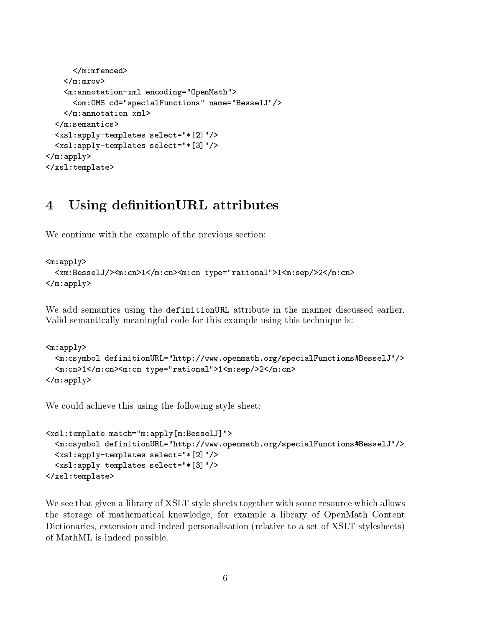```
\langle m: m \in \mathbb{R} \rangle\overline{m} . The mass of \overline{m} and \overline{m} and \overline{m} and \overline{m} and \overline{m} and \overline{m} and \overline{m} and \overline{m} and \overline{m} and \overline{m} and \overline{m} and \overline{m} and \overline{m} and \overline{m} and \overline{m} and \over\langle/m:mrow\rangle\mathbf{m} and \mathbf{m} and \mathbf{m} and \mathbf{m} and \mathbf{m} and \mathbf{m} and \mathbf{m} and \mathbf{m} and \mathbf{m} and \mathbf{m} and \mathbf{m} and \mathbf{m} and \mathbf{m} and \mathbf{m} and \mathbf{m} and \mathbf{m} and \mathbf{m} and 
           <m:annotation-xml encoding="OpenMath">
                 <om:OMS cd="specialFunctions" name="BesselJ"/>
           </m:annotation-xml>
     \langle m:semantics>
     <xsl:apply-templates select="*[2]"/>
     <xsl:apply-templates select="*[3]"/>
</m:apply>
</xsl:template>
```
### $\overline{4}$ Using definition URL attributes

We continue with the example of the previous section:

```
<sub>m</sub>:apply></sub>
  <xm:BesselJ/><m:cn>1</m:cn><m:cn type="rational">1<m:sep/>2</m:cn>
</m:apply>
```
We add semantics using the definitionURL attribute in the manner discussed earlier. Valid semantically meaningful code for this example using this technique is:

```
<sub>m</sub>:apply></sub>
  <m:csymbol definitionURL="http://www.openmath.org/specialFunctions#BesselJ"/>
  <m:cn>1</m:cn><m:cn type="rational">1<m:sep/>2</m:cn>
\langle m:app1y\rangle
```
We could achieve this using the following style sheet:

```
<xsl:template match="m:apply[m:BesselJ]">
 <m:csymbol definitionURL="http://www.openmath.org/specialFunctions#BesselJ"/>
 <xsl:apply-templates select="*[2]"/>
 <xsl:apply-templates select="*[3]"/>
</xsl:template>
```
We see that given a library of XSLT style sheets together with some resource which allows the storage of mathematical knowledge, for example a library of OpenMath Content Dictionaries, extension and indeed personalisation (relative to a set of XSLT stylesheets) of MathML is indeed possible.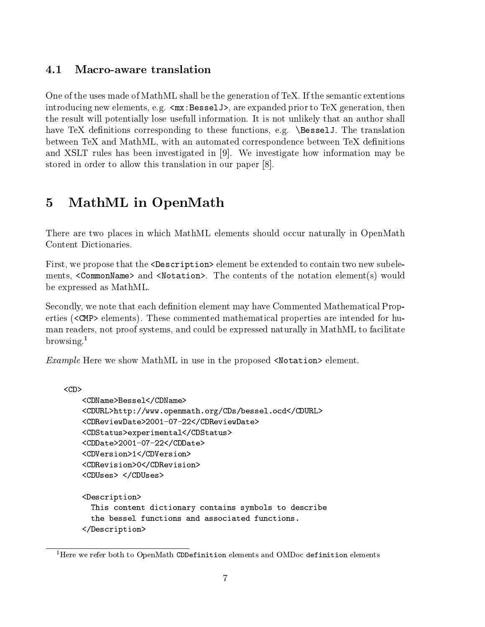#### $4.1$ Macro-aware translation

One of the uses made of MathML shall be the generation of TeX. If the semantic extentions introducing new elements, e.g.  $\langle mx:BesselJ \rangle$ , are expanded prior to TeX generation, then the result will potentially lose usefull information. It is not unlikely that an author shall have TeX definitions corresponding to these functions, e.g. \BesselJ. The translation between TeX and MathML, with an automated correspondence between TeX definitions and XSLT rules has been investigated in [9]. We investigate how information may be stored in order to allow this translation in our paper [8].

### $\overline{5}$ MathML in OpenMath

There are two places in which MathML elements should occur naturally in OpenMath Content Dictionaries.

First, we propose that the <Description> element be extended to contain two new subelements, <CommonName> and <Notation>. The contents of the notation element(s) would be expressed as MathML.

Secondly, we note that each definition element may have Commented Mathematical Properties (<CMP> elements). These commented mathematical properties are intended for human readers, not proof systems, and could be expressed naturally in MathML to facilitate browsing. $1$ 

*Example* Here we show MathML in use in the proposed  $\forall$  Notation > element.

```
<CDName>Bessel</CDName>
<CDURL>http://www.openmath.org/CDs/bessel.ocd</CDURL>
<CDReviewDate>2001-07-22</CDReviewDate>
<CDStatus>experimental</CDStatus>
<CDDate>2001-07-22</CDDate>
<CDVersion>1</CDVersion>
and the contract of the contract of the contract of the contract of the contract of the contract of the contract of the contract of the contract of the contract of the contract of the contract of the contract of the contra
<CDRevision>0</CDRevision>
<CDUses> </CDUses>
<Description>
  This content dictionary contains symbols to describe
  the bessel functions and associated functions.
</Description>
```
 $1$ Here we refer both to OpenMath CDDefinition elements and OMDoc definition elements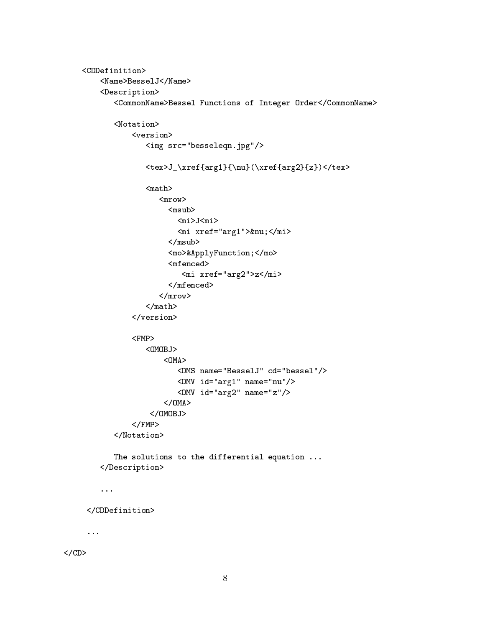```
<CDDefinition>
    <Name>BesselJ</Name>
    <Description>
       <CommonName>Bessel Functions of Integer Order</CommonName>
       <Notation>
            <version>
               <img src="besseleqn.jpg"/>
               <tex>J_\xref{arg1}{\nu}(\xref{arg2}{z})</tex>
               <math>math</math><sub>mrow</sub></sub>
                    <msub>
                       <mi>J<mi>
                       \text{m}i xref="arg1">ν</mi>
                    </msub>
                    <mo>&ApplyFunction;</mo>
                    <mfenced><mi xref="arg2">z</mi>
                    </mfenced>
                  \langle/mrow\rangle\frac{2}{\pi}</version>
            <FMP><OMOBJ>
                   < OMA><OMS name="BesselJ" cd="bessel"/>
                       <OMV id="arg1" name="nu"/>
                       <OMV id="arg2" name="z"/>
                   </OMA</OMOBJ>
            </FMP>
       </Notation>
       The solutions to the differential equation ...
    </Description>
    ...
 </CDDefinition>
 ...
```
 $\langle$ /CD $\rangle$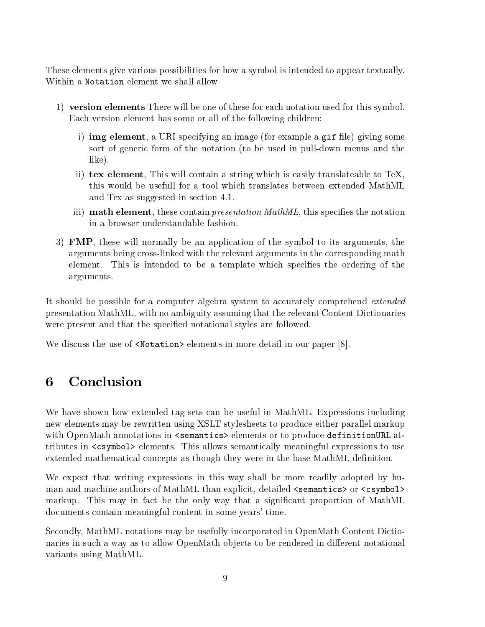These elements give various possibilities for how a symbol isintended to appear textually. Within a Notation element we shall allow

- 1) version elements There will be one of these for each notation used for this symbol. Each version element has some or all of the following children:
	- i) **img element**, a URI specifying an image (for example a gif file) giving some sort of generic form of the notation (to be used in pull-down menus and the like).
	- ii) tex element, This will contain astring which is easily translateable to TeX, this would be usefull for a tool which translates between extended MathML and Tex as suggested in section 4.1.
	- iii) **math element**, these contain *presentation MathML*, this specifies the notation in abrowser understandable fashion.
- 3) FMP, these will normally be an application of the symbol to its arguments, the arguments being cross-linked with the relevant arguments in thecorresponding math element. This is intended to be a template which species the ordering of the arguments.

It should be possible for a computer algebra system to accurately comprehend *extended* presentation MathML, with no ambiguity assuming that the relevant Content Dictionaries were present and that the specified notational styles are followed.

We discuss the use of  $\triangleleft$ Notation> elements in more detail in our paper [8].

# 6 Conclusion

We have shown how extended tag sets can be useful in MathML. Expressions including new elements may be rewritten using XSLT stylesheets to produce either parallel markup with OpenMath annotations in  $\leq$  semantics> elements or to produce definitionURL attributes in <csymbol> elements. This allows semantically meaningful expressions to use extended mathematical concepts as though they were in the base MathML definition.

We expect that writing expressions in this way shall be more readily adopted by human and machine authors of MathML than explicit, detailed  $\leq$  semantics or  $\leq$  csymbol> markup. This may in fact be the only way that a signicant proportion of MathML documents contain meaningful content in some years' time.

Secondly, MathML notations may be usefully incorporated in OpenMath Content Dictionaries in such a way as to allow OpenMath objects to be rendered in different notational variants using MathML.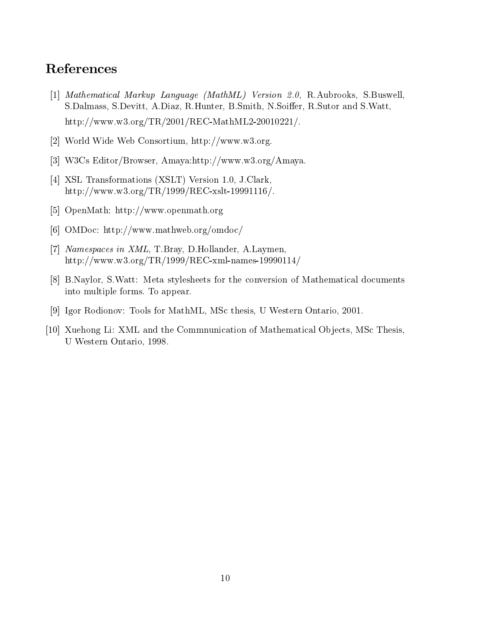### References

- [1] Mathematical Markup Language (MathML) Version 2.0, R.Aubrooks, S.Buswell, S.Dalmass, S.Devitt, A.Diaz, R.Hunter, B.Smith, N.Soiffer, R.Sutor and S.Watt, http://www.w3.org/TR/2001/REC-MathML2-20010221/.
- [2] World Wide Web Consortium, http://www.w3.org.
- [3] W3Cs Editor/Browser, Amaya:http://www.w3.org/Amaya.
- [4] XSL Transformations (XSLT) Version 1.0, J.Clark, http://www.w3.org/TR/1999/REC-xslt-19991116/.
- [5] OpenMath: http://www.openmath.org
- [6] OMDoc: http://www.mathweb.org/omdoc/
- [7] Namespaces in XML, T.Bray, D.Hollander, A.Laymen, http://www.w3.org/TR/1999/REC-xml-names-19990114/
- [8] B.Naylor, S.Watt: Meta stylesheets for the conversion of Mathematical documents into multiple forms. To appear.
- [9] Igor Rodionov: Tools for MathML, MSc thesis, U Western Ontario, 2001.
- [10] Xuehong Li: XML and the Commnunication of Mathematical Objects, MSc Thesis, U Western Ontario, 1998.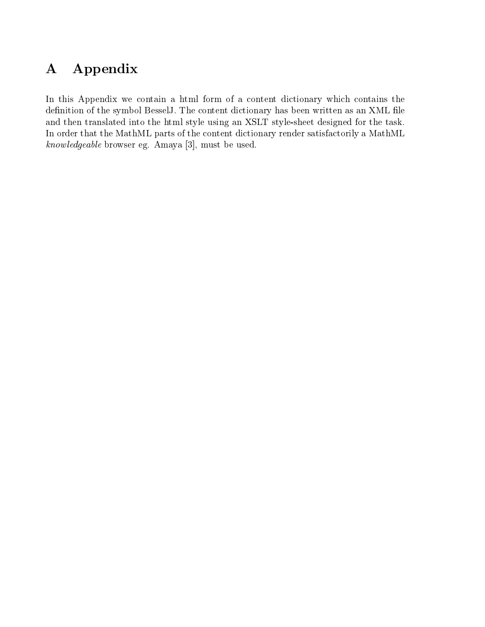# A Appendix

In this Appendix we contain a html form of a content dictionary which contains the definition of the symbol BesselJ. The content dictionary has been written as an XML file and then translated into the html style using an XSLT style-sheet designed for the task. In order that the MathML parts of the content dictionary render satisfactorily a MathML know ledgeable browser eg. Amaya [3], must be used.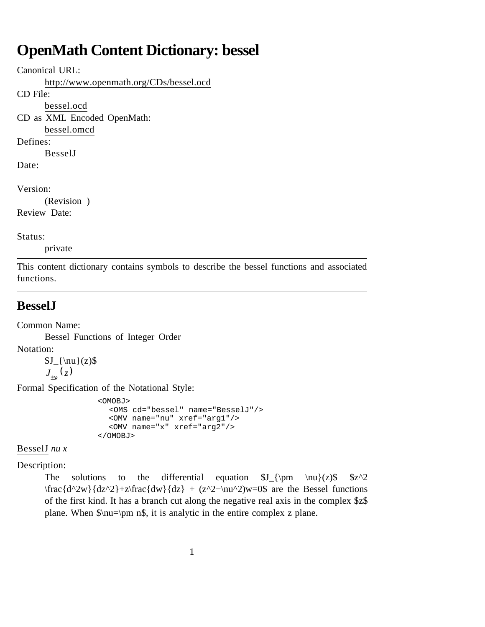# **OpenMath Content Dictionary: bessel**

Canonical URL:

http://www.openmath.org/CDs/bessel.ocd

CD File:

bessel.ocd

CD as XML Encoded OpenMath: bessel.omcd

Defines:

BesselJ Date:

Version:

(Revision )

Review Date:

Status:

private

This content dictionary contains symbols to describe the bessel functions and associated functions.

### **BesselJ**

Common Name:

Bessel Functions of Integer Order

Notation:

 $J_{\nu}(z)$ *<sup>J</sup>*±ν (*z*)

Formal Specification of the Notational Style:

```
 <OMOBJ>
   <OMS cd="bessel" name="BesselJ"/>
   <OMV name="nu" xref="arg1"/>
   <OMV name="x" xref="arg2"/>
 </OMOBJ>
```
BesselJ *nu x*

Description:

The solutions to the differential equation  $J_{\pm}(\pm)$   $\nu}(z)\$   $\zeta^2$  $\frac{d^2w}{dz^2}+z\frac{dw}{dz} + (z^2-\nu^2)w=0$  are the Bessel functions of the first kind. It has a branch cut along the negative real axis in the complex \$z\$ plane. When \$\nu=\pm n\$, it is analytic in the entire complex z plane.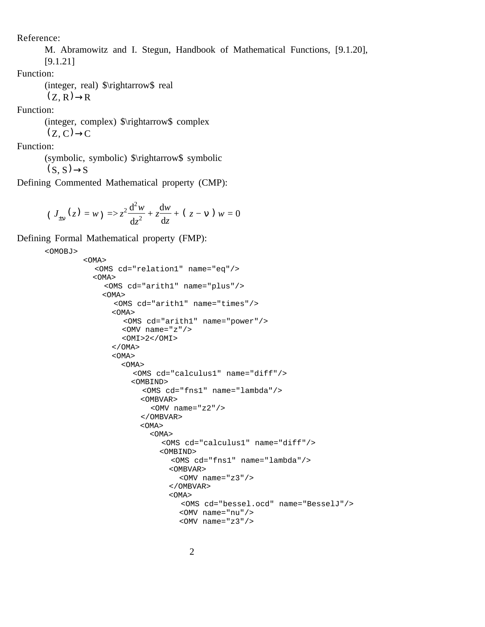Reference:

M. Abramowitz and I. Stegun, Handbook of Mathematical Functions, [9.1.20],

[9.1.21]

Function:

(integer, real) \$\rightarrow\$ real  $(Z, R) \rightarrow R$ 

Function:

(integer, complex) \$\rightarrow\$ complex  $(Z, C) \rightarrow C$ 

Function:

(symbolic, symbolic) \$\rightarrow\$ symbolic  $(S, S) \rightarrow S$ 

Defining Commented Mathematical property (CMP):

 $(J_{\pm v}(z) = w) \Rightarrow z^2 \frac{d^2 w}{dz^2}$  $\frac{d^2w}{dz^2} + z\frac{dw}{dz}$ d*z* + ( *z* − ν ) *w* = 0

Defining Formal Mathematical property (FMP):

```
<OMOBJ>
          <OMA>
            <OMS cd="relation1" name="eq"/>
            <OMA>
               <OMS cd="arith1" name="plus"/>
              <OMA>
                 <OMS cd="arith1" name="times"/>
               < OMA > <OMS cd="arith1" name="power"/>
                   <OMV name="z"/>
                  <OMI>2</OMI>
               </OMA> <OMA>
                   <OMA>
                     <OMS cd="calculus1" name="diff"/>
                     <OMBIND>
                        <OMS cd="fns1" name="lambda"/>
                       <OMBVAR>
                         <OMV name="z2"/>
                       </OMBVAR>
                       <OMA>
                          <OMA>
                            <OMS cd="calculus1" name="diff"/>
                            <OMBIND>
                              <OMS cd="fns1" name="lambda"/>
                              <OMBVAR>
                               \langleOMV name="z3"/>
                              </OMBVAR>
                              <OMA>
                                 <OMS cd="bessel.ocd" name="BesselJ"/>
                                <OMV name="nu"/>
                                <OMV name="z3"/>
```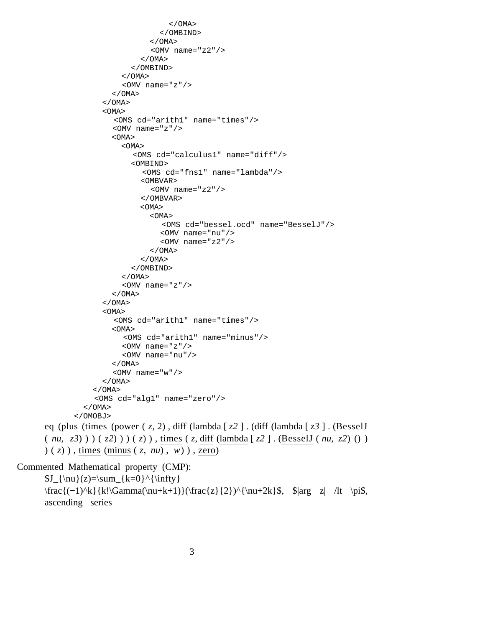```
 </OMA>
                                   </OMBIND>
                                </OMA> <OMV name="z2"/>
                             </OMA </OMBIND>
                         </OMA> <OMV name="z"/>
                      </OMA</OMA>< OMA> <OMS cd="arith1" name="times"/>
                       <OMV name="z"/>
                       <OMA>
                         < OMA> <OMS cd="calculus1" name="diff"/>
                            <OMBIND>
                              <OMS cd="fns1" name="lambda"/>
                              <OMBVAR>
                                 <OMV name="z2"/>
                              </OMBVAR>
                              <OMA>
                               < OMA <OMS cd="bessel.ocd" name="BesselJ"/>
                                   <OMV name="nu"/>
                                  <OMV name="z2"/>
                               </OMA> </OMA>
                            </OMBIND>
                         </OMA <OMV name="z"/>
                      </OMA></OMA> <OMA>
                        <OMS cd="arith1" name="times"/>
                      < OMA > <OMS cd="arith1" name="minus"/>
                          <OMV name="z"/>
                          <OMV name="nu"/>
                       </OMA>
                      < OMV name="w"/>
                    </OMA</OMA> <OMS cd="alg1" name="zero"/>
                </OMA> </OMOBJ>
      eq (plus (times (power ( z, 2) , diff (lambda [ z2 ] . (diff (lambda [ z3 ] . (BesselJ
      ( nu, z3) ) ) ( z2) ) ) ( z) ) , times ( z, diff (lambda [ z2 ] . (BesselJ ( nu, z2) () )
      ) ( z) ) , times (minus ( z, nu) , w) ) , zero)
Commented Mathematical property (CMP):
```
 $J_{\nu}(z)=\sum_{k=0}^{\infty}$ \frac{(−1)^k}{k!\Gamma(\nu+k+1)}(\frac{z}{2})^{\nu+2k}\$, \$|arg z| /lt \pi\$, ascending series